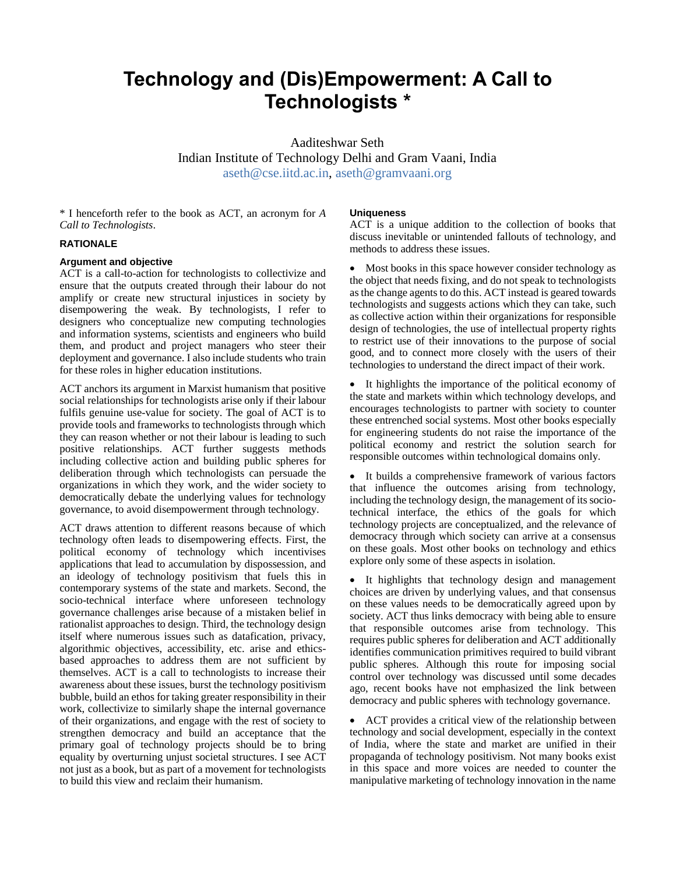# **Technology and (Dis)Empowerment: A Call to Technologists \***

Aaditeshwar Seth Indian Institute of Technology Delhi and Gram Vaani, India [aseth@cse.iitd.ac.in,](mailto:aseth@cse.iitd.ac.in) [aseth@gramvaani.org](mailto:aseth@gramvaani.org)

\* I henceforth refer to the book as ACT, an acronym for *A Call to Technologists*.

### **RATIONALE**

### **Argument and objective**

ACT is a call-to-action for technologists to collectivize and ensure that the outputs created through their labour do not amplify or create new structural injustices in society by disempowering the weak. By technologists, I refer to designers who conceptualize new computing technologies and information systems, scientists and engineers who build them, and product and project managers who steer their deployment and governance. I also include students who train for these roles in higher education institutions.

ACT anchors its argument in Marxist humanism that positive social relationships for technologists arise only if their labour fulfils genuine use-value for society. The goal of ACT is to provide tools and frameworks to technologists through which they can reason whether or not their labour is leading to such positive relationships. ACT further suggests methods including collective action and building public spheres for deliberation through which technologists can persuade the organizations in which they work, and the wider society to democratically debate the underlying values for technology governance, to avoid disempowerment through technology.

ACT draws attention to different reasons because of which technology often leads to disempowering effects. First, the political economy of technology which incentivises applications that lead to accumulation by dispossession, and an ideology of technology positivism that fuels this in contemporary systems of the state and markets. Second, the socio-technical interface where unforeseen technology governance challenges arise because of a mistaken belief in rationalist approaches to design. Third, the technology design itself where numerous issues such as datafication, privacy, algorithmic objectives, accessibility, etc. arise and ethicsbased approaches to address them are not sufficient by themselves. ACT is a call to technologists to increase their awareness about these issues, burst the technology positivism bubble, build an ethos for taking greater responsibility in their work, collectivize to similarly shape the internal governance of their organizations, and engage with the rest of society to strengthen democracy and build an acceptance that the primary goal of technology projects should be to bring equality by overturning unjust societal structures. I see ACT not just as a book, but as part of a movement for technologists to build this view and reclaim their humanism.

#### **Uniqueness**

ACT is a unique addition to the collection of books that discuss inevitable or unintended fallouts of technology, and methods to address these issues.

 Most books in this space however consider technology as the object that needs fixing, and do not speak to technologists as the change agents to do this. ACT instead is geared towards technologists and suggests actions which they can take, such as collective action within their organizations for responsible design of technologies, the use of intellectual property rights to restrict use of their innovations to the purpose of social good, and to connect more closely with the users of their technologies to understand the direct impact of their work.

 It highlights the importance of the political economy of the state and markets within which technology develops, and encourages technologists to partner with society to counter these entrenched social systems. Most other books especially for engineering students do not raise the importance of the political economy and restrict the solution search for responsible outcomes within technological domains only.

 It builds a comprehensive framework of various factors that influence the outcomes arising from technology, including the technology design, the management of its sociotechnical interface, the ethics of the goals for which technology projects are conceptualized, and the relevance of democracy through which society can arrive at a consensus on these goals. Most other books on technology and ethics explore only some of these aspects in isolation.

 It highlights that technology design and management choices are driven by underlying values, and that consensus on these values needs to be democratically agreed upon by society. ACT thus links democracy with being able to ensure that responsible outcomes arise from technology. This requires public spheres for deliberation and ACT additionally identifies communication primitives required to build vibrant public spheres. Although this route for imposing social control over technology was discussed until some decades ago, recent books have not emphasized the link between democracy and public spheres with technology governance.

 ACT provides a critical view of the relationship between technology and social development, especially in the context of India, where the state and market are unified in their propaganda of technology positivism. Not many books exist in this space and more voices are needed to counter the manipulative marketing of technology innovation in the name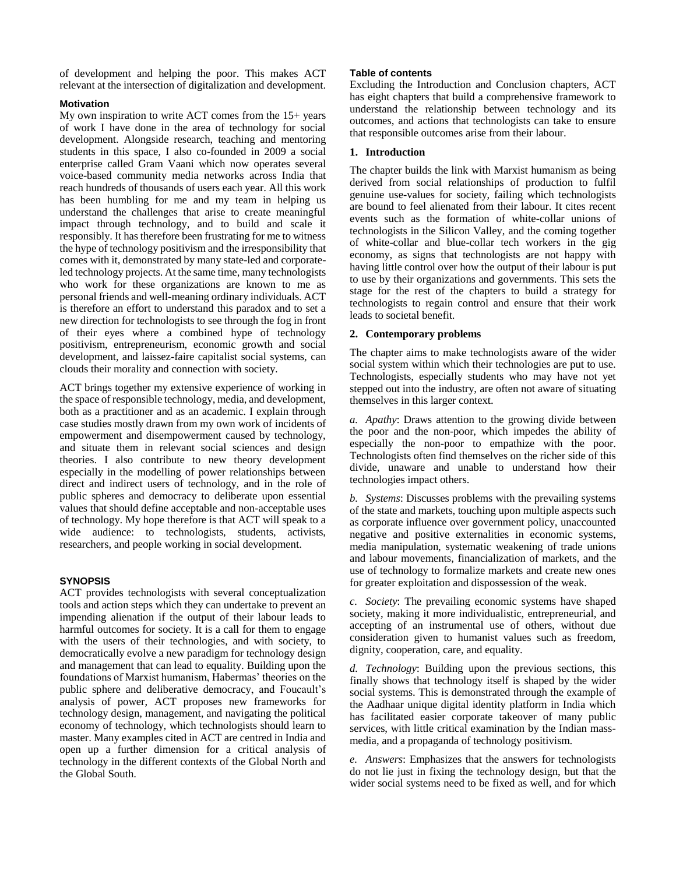of development and helping the poor. This makes ACT relevant at the intersection of digitalization and development.

#### **Motivation**

My own inspiration to write ACT comes from the 15+ years of work I have done in the area of technology for social development. Alongside research, teaching and mentoring students in this space, I also co-founded in 2009 a social enterprise called Gram Vaani which now operates several voice-based community media networks across India that reach hundreds of thousands of users each year. All this work has been humbling for me and my team in helping us understand the challenges that arise to create meaningful impact through technology, and to build and scale it responsibly. It has therefore been frustrating for me to witness the hype of technology positivism and the irresponsibility that comes with it, demonstrated by many state-led and corporateled technology projects. At the same time, many technologists who work for these organizations are known to me as personal friends and well-meaning ordinary individuals. ACT is therefore an effort to understand this paradox and to set a new direction for technologists to see through the fog in front of their eyes where a combined hype of technology positivism, entrepreneurism, economic growth and social development, and laissez-faire capitalist social systems, can clouds their morality and connection with society.

ACT brings together my extensive experience of working in the space of responsible technology, media, and development, both as a practitioner and as an academic. I explain through case studies mostly drawn from my own work of incidents of empowerment and disempowerment caused by technology, and situate them in relevant social sciences and design theories. I also contribute to new theory development especially in the modelling of power relationships between direct and indirect users of technology, and in the role of public spheres and democracy to deliberate upon essential values that should define acceptable and non-acceptable uses of technology. My hope therefore is that ACT will speak to a wide audience: to technologists, students, activists, researchers, and people working in social development.

#### **SYNOPSIS**

ACT provides technologists with several conceptualization tools and action steps which they can undertake to prevent an impending alienation if the output of their labour leads to harmful outcomes for society. It is a call for them to engage with the users of their technologies, and with society, to democratically evolve a new paradigm for technology design and management that can lead to equality. Building upon the foundations of Marxist humanism, Habermas' theories on the public sphere and deliberative democracy, and Foucault's analysis of power, ACT proposes new frameworks for technology design, management, and navigating the political economy of technology, which technologists should learn to master. Many examples cited in ACT are centred in India and open up a further dimension for a critical analysis of technology in the different contexts of the Global North and the Global South.

## **Table of contents**

Excluding the Introduction and Conclusion chapters, ACT has eight chapters that build a comprehensive framework to understand the relationship between technology and its outcomes, and actions that technologists can take to ensure that responsible outcomes arise from their labour.

# **1. Introduction**

The chapter builds the link with Marxist humanism as being derived from social relationships of production to fulfil genuine use-values for society, failing which technologists are bound to feel alienated from their labour. It cites recent events such as the formation of white-collar unions of technologists in the Silicon Valley, and the coming together of white-collar and blue-collar tech workers in the gig economy, as signs that technologists are not happy with having little control over how the output of their labour is put to use by their organizations and governments. This sets the stage for the rest of the chapters to build a strategy for technologists to regain control and ensure that their work leads to societal benefit.

# **2. Contemporary problems**

The chapter aims to make technologists aware of the wider social system within which their technologies are put to use. Technologists, especially students who may have not yet stepped out into the industry, are often not aware of situating themselves in this larger context.

*a. Apathy*: Draws attention to the growing divide between the poor and the non-poor, which impedes the ability of especially the non-poor to empathize with the poor. Technologists often find themselves on the richer side of this divide, unaware and unable to understand how their technologies impact others.

*b. Systems*: Discusses problems with the prevailing systems of the state and markets, touching upon multiple aspects such as corporate influence over government policy, unaccounted negative and positive externalities in economic systems, media manipulation, systematic weakening of trade unions and labour movements, financialization of markets, and the use of technology to formalize markets and create new ones for greater exploitation and dispossession of the weak.

*c. Society*: The prevailing economic systems have shaped society, making it more individualistic, entrepreneurial, and accepting of an instrumental use of others, without due consideration given to humanist values such as freedom, dignity, cooperation, care, and equality.

*d. Technology*: Building upon the previous sections, this finally shows that technology itself is shaped by the wider social systems. This is demonstrated through the example of the Aadhaar unique digital identity platform in India which has facilitated easier corporate takeover of many public services, with little critical examination by the Indian massmedia, and a propaganda of technology positivism.

*e. Answers*: Emphasizes that the answers for technologists do not lie just in fixing the technology design, but that the wider social systems need to be fixed as well, and for which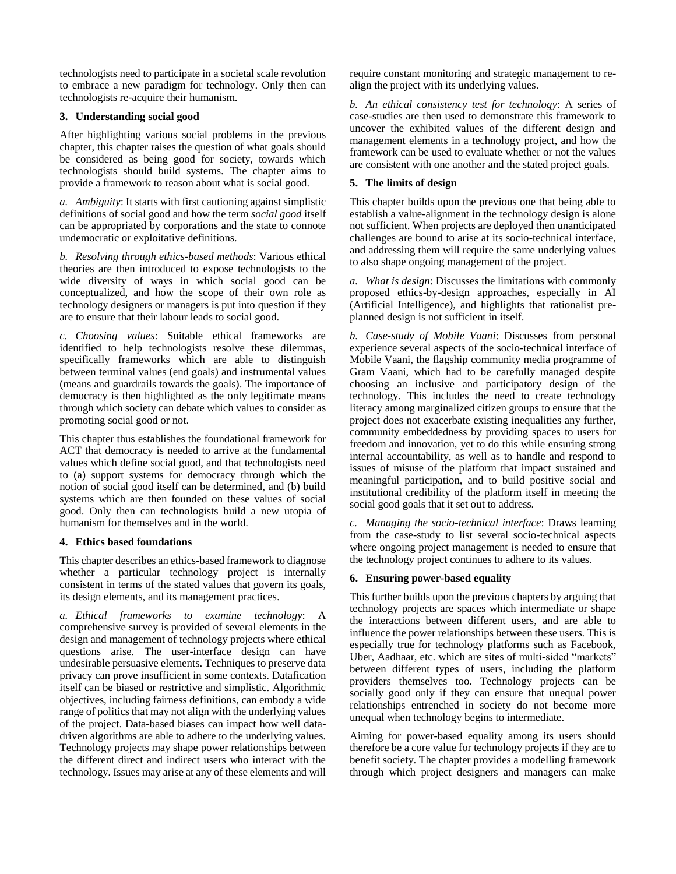technologists need to participate in a societal scale revolution to embrace a new paradigm for technology. Only then can technologists re-acquire their humanism.

#### **3. Understanding social good**

After highlighting various social problems in the previous chapter, this chapter raises the question of what goals should be considered as being good for society, towards which technologists should build systems. The chapter aims to provide a framework to reason about what is social good.

*a. Ambiguity*: It starts with first cautioning against simplistic definitions of social good and how the term *social good* itself can be appropriated by corporations and the state to connote undemocratic or exploitative definitions.

*b. Resolving through ethics-based methods*: Various ethical theories are then introduced to expose technologists to the wide diversity of ways in which social good can be conceptualized, and how the scope of their own role as technology designers or managers is put into question if they are to ensure that their labour leads to social good.

*c. Choosing values*: Suitable ethical frameworks are identified to help technologists resolve these dilemmas, specifically frameworks which are able to distinguish between terminal values (end goals) and instrumental values (means and guardrails towards the goals). The importance of democracy is then highlighted as the only legitimate means through which society can debate which values to consider as promoting social good or not.

This chapter thus establishes the foundational framework for ACT that democracy is needed to arrive at the fundamental values which define social good, and that technologists need to (a) support systems for democracy through which the notion of social good itself can be determined, and (b) build systems which are then founded on these values of social good. Only then can technologists build a new utopia of humanism for themselves and in the world.

#### **4. Ethics based foundations**

This chapter describes an ethics-based framework to diagnose whether a particular technology project is internally consistent in terms of the stated values that govern its goals, its design elements, and its management practices.

*a. Ethical frameworks to examine technology*: A comprehensive survey is provided of several elements in the design and management of technology projects where ethical questions arise. The user-interface design can have undesirable persuasive elements. Techniques to preserve data privacy can prove insufficient in some contexts. Datafication itself can be biased or restrictive and simplistic. Algorithmic objectives, including fairness definitions, can embody a wide range of politics that may not align with the underlying values of the project. Data-based biases can impact how well datadriven algorithms are able to adhere to the underlying values. Technology projects may shape power relationships between the different direct and indirect users who interact with the technology. Issues may arise at any of these elements and will require constant monitoring and strategic management to realign the project with its underlying values.

*b. An ethical consistency test for technology*: A series of case-studies are then used to demonstrate this framework to uncover the exhibited values of the different design and management elements in a technology project, and how the framework can be used to evaluate whether or not the values are consistent with one another and the stated project goals.

## **5. The limits of design**

This chapter builds upon the previous one that being able to establish a value-alignment in the technology design is alone not sufficient. When projects are deployed then unanticipated challenges are bound to arise at its socio-technical interface, and addressing them will require the same underlying values to also shape ongoing management of the project.

*a. What is design*: Discusses the limitations with commonly proposed ethics-by-design approaches, especially in AI (Artificial Intelligence), and highlights that rationalist preplanned design is not sufficient in itself.

*b. Case-study of Mobile Vaani*: Discusses from personal experience several aspects of the socio-technical interface of Mobile Vaani, the flagship community media programme of Gram Vaani, which had to be carefully managed despite choosing an inclusive and participatory design of the technology. This includes the need to create technology literacy among marginalized citizen groups to ensure that the project does not exacerbate existing inequalities any further, community embeddedness by providing spaces to users for freedom and innovation, yet to do this while ensuring strong internal accountability, as well as to handle and respond to issues of misuse of the platform that impact sustained and meaningful participation, and to build positive social and institutional credibility of the platform itself in meeting the social good goals that it set out to address.

*c. Managing the socio-technical interface*: Draws learning from the case-study to list several socio-technical aspects where ongoing project management is needed to ensure that the technology project continues to adhere to its values.

# **6. Ensuring power-based equality**

This further builds upon the previous chapters by arguing that technology projects are spaces which intermediate or shape the interactions between different users, and are able to influence the power relationships between these users. This is especially true for technology platforms such as Facebook, Uber, Aadhaar, etc. which are sites of multi-sided "markets" between different types of users, including the platform providers themselves too. Technology projects can be socially good only if they can ensure that unequal power relationships entrenched in society do not become more unequal when technology begins to intermediate.

Aiming for power-based equality among its users should therefore be a core value for technology projects if they are to benefit society. The chapter provides a modelling framework through which project designers and managers can make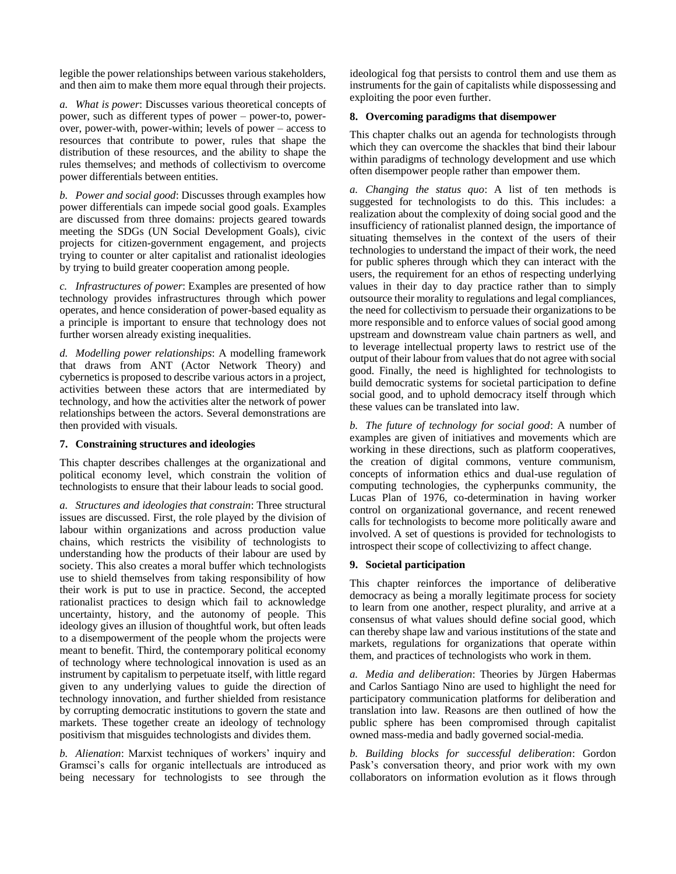legible the power relationships between various stakeholders, and then aim to make them more equal through their projects.

*a. What is power*: Discusses various theoretical concepts of power, such as different types of power – power-to, powerover, power-with, power-within; levels of power – access to resources that contribute to power, rules that shape the distribution of these resources, and the ability to shape the rules themselves; and methods of collectivism to overcome power differentials between entities.

*b. Power and social good*: Discusses through examples how power differentials can impede social good goals. Examples are discussed from three domains: projects geared towards meeting the SDGs (UN Social Development Goals), civic projects for citizen-government engagement, and projects trying to counter or alter capitalist and rationalist ideologies by trying to build greater cooperation among people.

*c. Infrastructures of power*: Examples are presented of how technology provides infrastructures through which power operates, and hence consideration of power-based equality as a principle is important to ensure that technology does not further worsen already existing inequalities.

*d. Modelling power relationships*: A modelling framework that draws from ANT (Actor Network Theory) and cybernetics is proposed to describe various actors in a project, activities between these actors that are intermediated by technology, and how the activities alter the network of power relationships between the actors. Several demonstrations are then provided with visuals.

#### **7. Constraining structures and ideologies**

This chapter describes challenges at the organizational and political economy level, which constrain the volition of technologists to ensure that their labour leads to social good.

*a. Structures and ideologies that constrain*: Three structural issues are discussed. First, the role played by the division of labour within organizations and across production value chains, which restricts the visibility of technologists to understanding how the products of their labour are used by society. This also creates a moral buffer which technologists use to shield themselves from taking responsibility of how their work is put to use in practice. Second, the accepted rationalist practices to design which fail to acknowledge uncertainty, history, and the autonomy of people. This ideology gives an illusion of thoughtful work, but often leads to a disempowerment of the people whom the projects were meant to benefit. Third, the contemporary political economy of technology where technological innovation is used as an instrument by capitalism to perpetuate itself, with little regard given to any underlying values to guide the direction of technology innovation, and further shielded from resistance by corrupting democratic institutions to govern the state and markets. These together create an ideology of technology positivism that misguides technologists and divides them.

*b. Alienation*: Marxist techniques of workers' inquiry and Gramsci's calls for organic intellectuals are introduced as being necessary for technologists to see through the

ideological fog that persists to control them and use them as instruments for the gain of capitalists while dispossessing and exploiting the poor even further.

#### **8. Overcoming paradigms that disempower**

This chapter chalks out an agenda for technologists through which they can overcome the shackles that bind their labour within paradigms of technology development and use which often disempower people rather than empower them.

*a. Changing the status quo*: A list of ten methods is suggested for technologists to do this. This includes: a realization about the complexity of doing social good and the insufficiency of rationalist planned design, the importance of situating themselves in the context of the users of their technologies to understand the impact of their work, the need for public spheres through which they can interact with the users, the requirement for an ethos of respecting underlying values in their day to day practice rather than to simply outsource their morality to regulations and legal compliances, the need for collectivism to persuade their organizations to be more responsible and to enforce values of social good among upstream and downstream value chain partners as well, and to leverage intellectual property laws to restrict use of the output of their labour from values that do not agree with social good. Finally, the need is highlighted for technologists to build democratic systems for societal participation to define social good, and to uphold democracy itself through which these values can be translated into law.

*b. The future of technology for social good*: A number of examples are given of initiatives and movements which are working in these directions, such as platform cooperatives, the creation of digital commons, venture communism, concepts of information ethics and dual-use regulation of computing technologies, the cypherpunks community, the Lucas Plan of 1976, co-determination in having worker control on organizational governance, and recent renewed calls for technologists to become more politically aware and involved. A set of questions is provided for technologists to introspect their scope of collectivizing to affect change.

#### **9. Societal participation**

This chapter reinforces the importance of deliberative democracy as being a morally legitimate process for society to learn from one another, respect plurality, and arrive at a consensus of what values should define social good, which can thereby shape law and various institutions of the state and markets, regulations for organizations that operate within them, and practices of technologists who work in them.

*a. Media and deliberation*: Theories by Jürgen Habermas and Carlos Santiago Nino are used to highlight the need for participatory communication platforms for deliberation and translation into law. Reasons are then outlined of how the public sphere has been compromised through capitalist owned mass-media and badly governed social-media.

*b. Building blocks for successful deliberation*: Gordon Pask's conversation theory, and prior work with my own collaborators on information evolution as it flows through